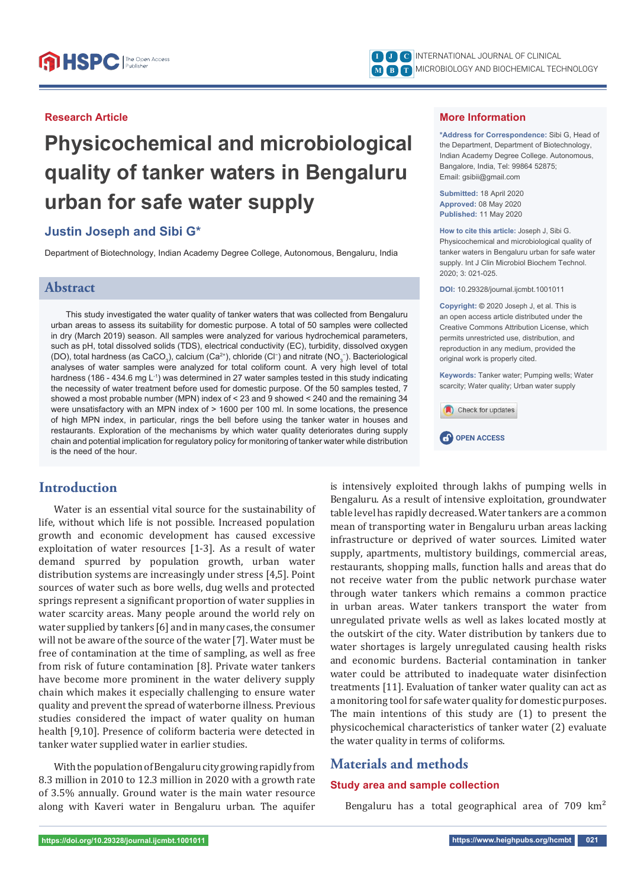#### **Research Article**

# **Physicochemical and microbiological quality of tanker waters in Bengaluru urban for safe water supply**

## **Justin Joseph and Sibi G\***

Department of Biotechnology, Indian Academy Degree College, Autonomous, Bengaluru, India

## **Abstract**

This study investigated the water quality of tanker waters that was collected from Bengaluru urban areas to assess its suitability for domestic purpose. A total of 50 samples were collected in dry (March 2019) season. All samples were analyzed for various hydrochemical parameters, such as pH, total dissolved solids (TDS), electrical conductivity (EC), turbidity, dissolved oxygen (DO), total hardness (as CaCO $_3$ ), calcium (Ca $^{2+}$ ), chloride (Cl<sup>−</sup>) and nitrate (NO $_3^-$ ). Bacteriological analyses of water samples were analyzed for total coliform count. A very high level of total hardness (186 - 434.6 mg L<sup>-1</sup>) was determined in 27 water samples tested in this study indicating the necessity of water treatment before used for domestic purpose. Of the 50 samples tested, 7 showed a most probable number (MPN) index of < 23 and 9 showed < 240 and the remaining 34 were unsatisfactory with an MPN index of > 1600 per 100 ml. In some locations, the presence of high MPN index, in particular, rings the bell before using the tanker water in houses and restaurants. Exploration of the mechanisms by which water quality deteriorates during supply chain and potential implication for regulatory policy for monitoring of tanker water while distribution is the need of the hour.

## **Introduction**

Water is an essential vital source for the sustainability of life, without which life is not possible. Increased population growth and economic development has caused excessive exploitation of water resources [1-3]. As a result of water demand spurred by population growth, urban water distribution systems are increasingly under stress [4,5]. Point sources of water such as bore wells, dug wells and protected springs represent a significant proportion of water supplies in water scarcity areas. Many people around the world rely on water supplied by tankers [6] and in many cases, the consumer will not be aware of the source of the water [7]. Water must be free of contamination at the time of sampling, as well as free from risk of future contamination [8]. Private water tankers have become more prominent in the water delivery supply chain which makes it especially challenging to ensure water quality and prevent the spread of waterborne illness. Previous studies considered the impact of water quality on human health [9,10]. Presence of coliform bacteria were detected in tanker water supplied water in earlier studies.

With the population of Bengaluru city growing rapidly from 8.3 million in 2010 to 12.3 million in 2020 with a growth rate of 3.5% annually. Ground water is the main water resource along with Kaveri water in Bengaluru urban. The aquifer

INTERNATIONAL JOURNAL OF CLINICAL **I J C** MICROBIOLOGY AND BIOCHEMICAL TECHNOLOGY **M B T**

### **More Information**

**\*Address for Correspondence:** Sibi G, Head of the Department, Department of Biotechnology, Indian Academy Degree College. Autonomous, Bangalore, India, Tel: 99864 52875; Email: gsibii@gmail.com

**Submitted:** 18 April 2020 **Approved:** 08 May 2020 **Published:** 11 May 2020

**How to cite this article:** Joseph J, Sibi G. Physicochemical and microbiological quality of tanker waters in Bengaluru urban for safe water supply. Int J Clin Microbiol Biochem Technol. 2020; 3: 021-025.

**DOI:** 10.29328/journal.ijcmbt.1001011

**Copyright: ©** 2020 Joseph J, et al. This is an open access article distributed under the Creative Commons Attribution License, which permits unrestricted use, distribution, and reproduction in any medium, provided the original work is properly cited.

**Keywords:** Tanker water; Pumping wells; Water scarcity; Water quality; Urban water supply



**CP** OPEN ACCESS



## **Materials and methods**

#### **Study area and sample collection**

Bengaluru has a total geographical area of  $709 \text{ km}^2$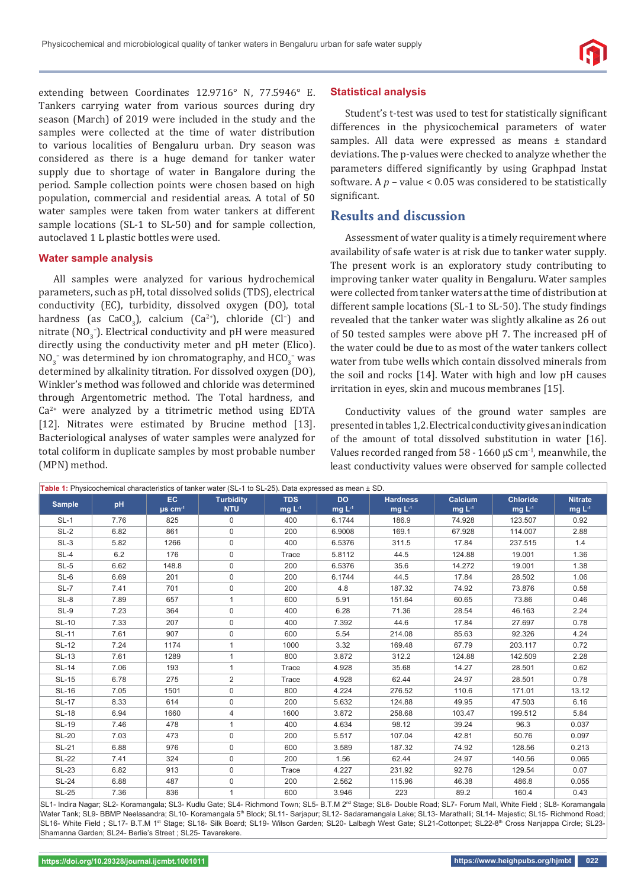extending between Coordinates 12.9716° N, 77.5946° E. Tankers carrying water from various sources during dry season (March) of 2019 were included in the study and the samples were collected at the time of water distribution to various localities of Bengaluru urban. Dry season was considered as there is a huge demand for tanker water supply due to shortage of water in Bangalore during the period. Sample collection points were chosen based on high population, commercial and residential areas. A total of 50 water samples were taken from water tankers at different sample locations (SL-1 to SL-50) and for sample collection, autoclaved 1 L plastic bottles were used.

#### **Water sample analysis**

All samples were analyzed for various hydrochemical parameters, such as pH, total dissolved solids (TDS), electrical conductivity (EC), turbidity, dissolved oxygen (DO), total hardness (as  $CaCO<sub>3</sub>$ ), calcium (Ca<sup>2+</sup>), chloride (Cl<sup>-</sup>) and nitrate ( $NO_3^-$ ). Electrical conductivity and pH were measured directly using the conductivity meter and pH meter (Elico).  $NO_3^-$  was determined by ion chromatography, and  $HCO_3^-$  was determined by alkalinity titration. For dissolved oxygen (DO), Winkler's method was followed and chloride was determined through Argentometric method. The Total hardness, and  $Ca<sup>2+</sup>$  were analyzed by a titrimetric method using EDTA [12]. Nitrates were estimated by Brucine method [13]. Bacteriological analyses of water samples were analyzed for total coliform in duplicate samples by most probable number (MPN) method.

#### **Statistical analysis**

Student's t-test was used to test for statistically significant differences in the physicochemical parameters of water samples. All data were expressed as means ± standard deviations. The p-values were checked to analyze whether the parameters differed significantly by using Graphpad Instat software. A *p* – value < 0.05 was considered to be statistically significant.

## **Results and discussion**

Assessment of water quality is a timely requirement where availability of safe water is at risk due to tanker water supply. The present work is an exploratory study contributing to improving tanker water quality in Bengaluru. Water samples were collected from tanker waters at the time of distribution at different sample locations (SL-1 to SL-50). The study findings revealed that the tanker water was slightly alkaline as 26 out of 50 tested samples were above pH 7. The increased pH of the water could be due to as most of the water tankers collect water from tube wells which contain dissolved minerals from the soil and rocks [14]. Water with high and low pH causes irritation in eyes, skin and mucous membranes [15].

Conductivity values of the ground water samples are presented in tables 1,2. Electrical conductivity gives an indication of the amount of total dissolved substitution in water [16]. Values recorded ranged from  $58 - 1660 \mu S$  cm<sup>-1</sup>, meanwhile, the least conductivity values were observed for sample collected

| Table 1: Physicochemical characteristics of tanker water (SL-1 to SL-25). Data expressed as mean ± SD. |      |                           |                                |                       |                          |                            |                    |                                |                           |  |
|--------------------------------------------------------------------------------------------------------|------|---------------------------|--------------------------------|-----------------------|--------------------------|----------------------------|--------------------|--------------------------------|---------------------------|--|
| <b>Sample</b>                                                                                          | pH   | EC.<br>$\mu$ s cm $^{-1}$ | <b>Turbidity</b><br><b>NTU</b> | <b>TDS</b><br>mg $L4$ | <b>DO</b><br>mg $L^{-1}$ | <b>Hardness</b><br>mg $L4$ | Calcium<br>mg $L4$ | <b>Chloride</b><br>mg $L^{-1}$ | <b>Nitrate</b><br>mg $L4$ |  |
| $SL-1$                                                                                                 | 7.76 | 825                       | $\mathbf 0$                    | 400                   | 6.1744                   | 186.9                      | 74.928             | 123.507                        | 0.92                      |  |
| $SL-2$                                                                                                 | 6.82 | 861                       | 0                              | 200                   | 6.9008                   | 169.1                      | 67.928             | 114.007                        | 2.88                      |  |
| $SL-3$                                                                                                 | 5.82 | 1266                      | 0                              | 400                   | 6.5376                   | 311.5                      | 17.84              | 237.515                        | 1.4                       |  |
| $SL-4$                                                                                                 | 6.2  | 176                       | $\mathbf 0$                    | Trace                 | 5.8112                   | 44.5                       | 124.88             | 19.001                         | 1.36                      |  |
| $SL-5$                                                                                                 | 6.62 | 148.8                     | 0                              | 200                   | 6.5376                   | 35.6                       | 14.272             | 19.001                         | 1.38                      |  |
| SL-6                                                                                                   | 6.69 | 201                       | 0                              | 200                   | 6.1744                   | 44.5                       | 17.84              | 28.502                         | 1.06                      |  |
| $SL-7$                                                                                                 | 7.41 | 701                       | 0                              | 200                   | 4.8                      | 187.32                     | 74.92              | 73.876                         | 0.58                      |  |
| $SL-8$                                                                                                 | 7.89 | 657                       | 1                              | 600                   | 5.91                     | 151.64                     | 60.65              | 73.86                          | 0.46                      |  |
| SL-9                                                                                                   | 7.23 | 364                       | $\mathsf{O}$                   | 400                   | 6.28                     | 71.36                      | 28.54              | 46.163                         | 2.24                      |  |
| <b>SL-10</b>                                                                                           | 7.33 | 207                       | $\mathbf 0$                    | 400                   | 7.392                    | 44.6                       | 17.84              | 27.697                         | 0.78                      |  |
| <b>SL-11</b>                                                                                           | 7.61 | 907                       | 0                              | 600                   | 5.54                     | 214.08                     | 85.63              | 92.326                         | 4.24                      |  |
| <b>SL-12</b>                                                                                           | 7.24 | 1174                      | 1                              | 1000                  | 3.32                     | 169.48                     | 67.79              | 203.117                        | 0.72                      |  |
| <b>SL-13</b>                                                                                           | 7.61 | 1289                      | 1                              | 800                   | 3.872                    | 312.2                      | 124.88             | 142.509                        | 2.28                      |  |
| <b>SL-14</b>                                                                                           | 7.06 | 193                       | $\mathbf{1}$                   | Trace                 | 4.928                    | 35.68                      | 14.27              | 28.501                         | 0.62                      |  |
| <b>SL-15</b>                                                                                           | 6.78 | 275                       | $\overline{2}$                 | Trace                 | 4.928                    | 62.44                      | 24.97              | 28.501                         | 0.78                      |  |
| <b>SL-16</b>                                                                                           | 7.05 | 1501                      | $\mathbf 0$                    | 800                   | 4.224                    | 276.52                     | 110.6              | 171.01                         | 13.12                     |  |
| <b>SL-17</b>                                                                                           | 8.33 | 614                       | 0                              | 200                   | 5.632                    | 124.88                     | 49.95              | 47.503                         | 6.16                      |  |
| <b>SL-18</b>                                                                                           | 6.94 | 1660                      | 4                              | 1600                  | 3.872                    | 258.68                     | 103.47             | 199.512                        | 5.84                      |  |
| <b>SL-19</b>                                                                                           | 7.46 | 478                       | 1                              | 400                   | 4.634                    | 98.12                      | 39.24              | 96.3                           | 0.037                     |  |
| <b>SL-20</b>                                                                                           | 7.03 | 473                       | $\mathbf 0$                    | 200                   | 5.517                    | 107.04                     | 42.81              | 50.76                          | 0.097                     |  |
| <b>SL-21</b>                                                                                           | 6.88 | 976                       | 0                              | 600                   | 3.589                    | 187.32                     | 74.92              | 128.56                         | 0.213                     |  |
| <b>SL-22</b>                                                                                           | 7.41 | 324                       | $\mathbf 0$                    | 200                   | 1.56                     | 62.44                      | 24.97              | 140.56                         | 0.065                     |  |
| $SL-23$                                                                                                | 6.82 | 913                       | $\mathbf 0$                    | Trace                 | 4.227                    | 231.92                     | 92.76              | 129.54                         | 0.07                      |  |
| <b>SL-24</b>                                                                                           | 6.88 | 487                       | 0                              | 200                   | 2.562                    | 115.96                     | 46.38              | 486.8                          | 0.055                     |  |
| <b>SL-25</b>                                                                                           | 7.36 | 836                       | 1                              | 600                   | 3.946                    | 223                        | 89.2               | 160.4                          | 0.43                      |  |

SL1- Indira Nagar; SL2- Koramangala; SL3- Kudlu Gate; SL4- Richmond Town; SL5- B.T.M 2<sup>nd</sup> Stage; SL6- Double Road; SL7- Forum Mall, White Field ; SL8- Koramangala Water Tank; SL9- BBMP Neelasandra; SL10- Koramangala 5<sup>th</sup> Block; SL11- Sarjapur; SL12- Sadaramangala Lake; SL13- Marathalli; SL14- Majestic; SL15- Richmond Road; SL16- White Field ; SL17- B.T.M 1st Stage; SL18- Silk Board; SL19- Wilson Garden; SL20- Lalbagh West Gate; SL21-Cottonpet; SL22-8<sup>th</sup> Cross Nanjappa Circle; SL23-Shamanna Garden; SL24- Berlie's Street ; SL25- Tavarekere.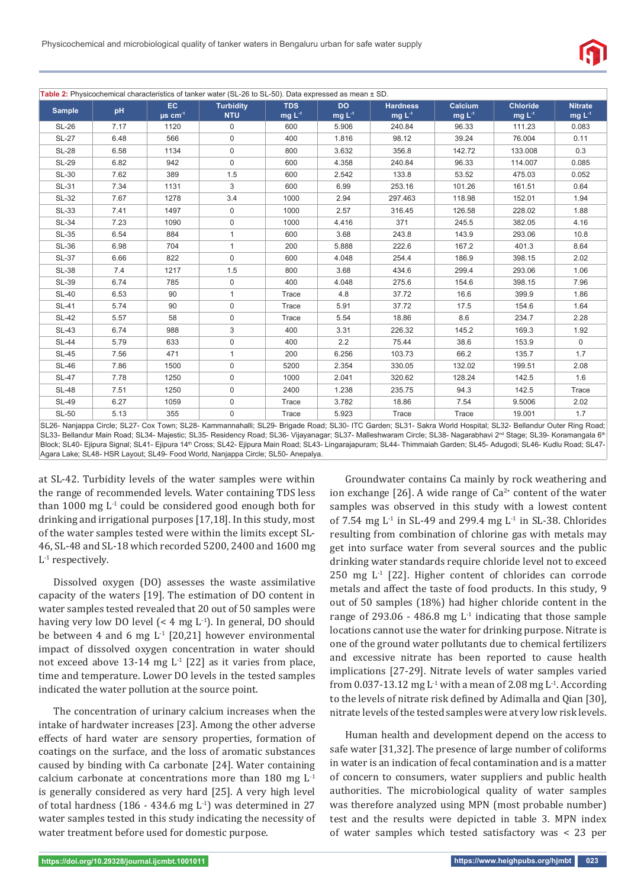

**Table 2:** Physicochemical characteristics of tanker water (SL-26 to SL-50). Data expressed as mean ± SD. **Sample pH EC μs cm<sup>-1</sup> Turbidity NTU TDS mg L-1 DO mg L-1 Hardness mg L-1 Calcium mg L-1 Chloride mg L-1 Nitrate mg L-1** SL-26 | 7.17 | 1120 | 0 | 600 | 5.906 | 240.84 | 96.33 | 111.23 | 0.083 SL-27 6.48 566 0 400 1.816 98.12 39.24 76.004 0.11 SL-28 | 6.58 | 1134 | 0 | 800 | 3.632 | 356.8 | 142.72 | 133.008 | 0.3 SL-29 | 6.82 | 942 | 0 | 600 | 4.358 | 240.84 | 96.33 | 114.007 | 0.085 SL-30 | 7.62 | 389 | 1.5 | 600 | 2.542 | 133.8 | 53.52 | 475.03 | 0.052 SL-31 | 7.34 | 1131 | 3 | 600 | 6.99 | 253.16 | 101.26 | 161.51 | 0.64 SL-32 | 7.67 | 1278 | 3.4 | 1000 | 2.94 | 297.463 | 118.98 | 152.01 | 1.94 SL-33 | 7.41 | 1497 | 1000 | 2.57 | 316.45 | 126.58 | 228.02 | 1.88 SL-34 | 7.23 | 1090 | 0 | 1000 | 4.416 | 371 | 245.5 | 382.05 | 4.16 SL-35 | 6.54 | 884 | 1 | 600 | 3.68 | 243.8 | 143.9 | 293.06 | 10.8 SL-36 | 6.98 | 704 | 1 | 200 | 5.888 | 222.6 | 167.2 | 401.3 | 8.64 SL-37 | 6.66 | 822 | 0 | 600 | 4.048 | 254.4 | 186.9 | 398.15 | 2.02 SL-38 | 7.4 | 1217 | 1.5 | 800 | 3.68 | 434.6 | 299.4 | 293.06 | 1.06 SL-39 | 6.74 | 785 | 0 | 400 | 4.048 | 275.6 | 154.6 | 398.15 | 7.96 SL-40 | 6.53 | 90 | 1 | Trace | 4.8 | 37.72 | 16.6 | 399.9 | 1.86 SL-41 | 5.74 | 90 | 0 | Trace | 5.91 | 37.72 | 17.5 | 154.6 | 1.64 SL-42 | 5.57 | 58 | 0 | Trace | 5.54 | 18.86 | 8.6 | 234.7 | 2.28 SL-43 | 6.74 | 988 | 3 | 400 | 3.31 | 226.32 | 145.2 | 169.3 | 1.92 SL-44 5.79 633 0 400 2.2 75.44 38.6 153.9 0 SL-45 | 7.56 | 471 | 1 | 200 | 6.256 | 103.73 | 66.2 | 135.7 | 1.7 SL-46 7.86 1500 0 5200 2.354 330.05 132.02 199.51 2.08 SL-47 7.78 1250 0 1000 2.041 320.62 128.24 142.5 1.6 SL-48 | 7.51 | 1250 | 0 | 2400 | 1.238 | 235.75 | 94.3 | 142.5 | Trace SL-49 | 6.27 | 1059 | 0 | Trace | 3.782 | 18.86 | 7.54 | 9.5006 | 2.02 SL-50 5.13 355 0 Trace 5.923 Trace Trace 19.001 1.7 SL26- Nanjappa Circle; SL27- Cox Town; SL28- Kammannahalli; SL29- Brigade Road; SL30- ITC Garden; SL31- Sakra World Hospital; SL32- Bellandur Outer Ring Road;

SL33- Bellandur Main Road; SL34- Majestic; SL35- Residency Road; SL36- Vijayanagar; SL37- Malleshwaram Circle; SL38- Nagarabhavi 2<sup>nd</sup> Stage; SL39- Koramangala 6<sup>tt</sup> Block; SL40- Ejipura Signal; SL41- Ejipura 14th Cross; SL42- Ejipura Main Road; SL43- Lingarajapuram; SL44- Thimmaiah Garden; SL45- Adugodi; SL46- Kudlu Road; SL47- Agara Lake; SL48- HSR Layout; SL49- Food World, Nanjappa Circle; SL50- Anepalya.

at SL-42. Turbidity levels of the water samples were within the range of recommended levels. Water containing TDS less than 1000 mg  $L^1$  could be considered good enough both for drinking and irrigational purposes [17,18]. In this study, most of the water samples tested were within the limits except SL-46, SL-48 and SL-18 which recorded 5200, 2400 and 1600 mg  $L<sup>-1</sup>$  respectively.

Dissolved oxygen (DO) assesses the waste assimilative capacity of the waters [19]. The estimation of DO content in water samples tested revealed that 20 out of 50 samples were having very low DO level  $(< 4 \text{ mg } L^{-1})$ . In general, DO should be between 4 and 6 mg  $L^1$  [20,21] however environmental impact of dissolved oxygen concentration in water should not exceed above 13-14 mg  $L^1$  [22] as it varies from place, time and temperature. Lower DO levels in the tested samples indicated the water pollution at the source point.

The concentration of urinary calcium increases when the intake of hardwater increases [23]. Among the other adverse effects of hard water are sensory properties, formation of coatings on the surface, and the loss of aromatic substances caused by binding with Ca carbonate [24]. Water containing calcium carbonate at concentrations more than 180 mg L-1 is generally considered as very hard [25]. A very high level of total hardness (186 - 434.6 mg L<sup>-1</sup>) was determined in 27 water samples tested in this study indicating the necessity of water treatment before used for domestic purpose.

Groundwater contains Ca mainly by rock weathering and ion exchange [26]. A wide range of  $Ca^{2+}$  content of the water samples was observed in this study with a lowest content of 7.54 mg  $L^{-1}$  in SL-49 and 299.4 mg  $L^{-1}$  in SL-38. Chlorides resulting from combination of chlorine gas with metals may get into surface water from several sources and the public drinking water standards require chloride level not to exceed 250 mg  $L^1$  [22]. Higher content of chlorides can corrode metals and affect the taste of food products. In this study, 9 out of 50 samples (18%) had higher chloride content in the range of 293.06 - 486.8 mg  $L^1$  indicating that those sample locations cannot use the water for drinking purpose. Nitrate is one of the ground water pollutants due to chemical fertilizers and excessive nitrate has been reported to cause health implications [27-29]. Nitrate levels of water samples varied from 0.037-13.12 mg  $L^{-1}$  with a mean of 2.08 mg  $L^{-1}$ . According to the levels of nitrate risk defined by Adimalla and Qian [30], nitrate levels of the tested samples were at very low risk levels.

Human health and development depend on the access to safe water [31,32]. The presence of large number of coliforms in water is an indication of fecal contamination and is a matter of concern to consumers, water suppliers and public health authorities. The microbiological quality of water samples was therefore analyzed using MPN (most probable number) test and the results were depicted in table 3. MPN index of water samples which tested satisfactory was < 23 per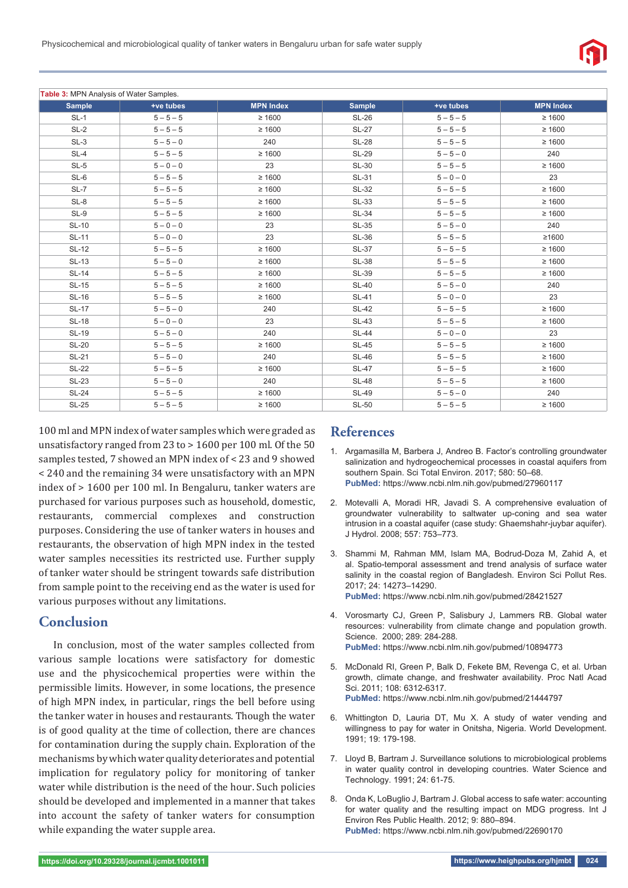| <b>Table 3: MPN Analysis of Water Samples.</b> |             |                  |               |             |                  |  |  |  |  |  |
|------------------------------------------------|-------------|------------------|---------------|-------------|------------------|--|--|--|--|--|
| <b>Sample</b>                                  | +ve tubes   | <b>MPN Index</b> | <b>Sample</b> | +ve tubes   | <b>MPN Index</b> |  |  |  |  |  |
| $SL-1$                                         | $5 - 5 - 5$ | $\geq 1600$      | <b>SL-26</b>  | $5 - 5 - 5$ | $\geq 1600$      |  |  |  |  |  |
| $SL-2$                                         | $5 - 5 - 5$ | $\geq 1600$      | <b>SL-27</b>  | $5 - 5 - 5$ | $\geq 1600$      |  |  |  |  |  |
| $SL-3$                                         | $5 - 5 - 0$ | 240              | <b>SL-28</b>  | $5 - 5 - 5$ | $\geq 1600$      |  |  |  |  |  |
| $SL-4$                                         | $5 - 5 - 5$ | $\geq 1600$      | <b>SL-29</b>  | $5 - 5 - 0$ | 240              |  |  |  |  |  |
| $SL-5$                                         | $5 - 0 - 0$ | 23               | <b>SL-30</b>  | $5 - 5 - 5$ | $\geq 1600$      |  |  |  |  |  |
| $SL-6$                                         | $5 - 5 - 5$ | $\geq 1600$      | <b>SL-31</b>  | $5 - 0 - 0$ | 23               |  |  |  |  |  |
| SL-7                                           | $5 - 5 - 5$ | $\geq 1600$      | <b>SL-32</b>  | $5 - 5 - 5$ | $\geq 1600$      |  |  |  |  |  |
| $SL-8$                                         | $5 - 5 - 5$ | $\geq 1600$      | <b>SL-33</b>  | $5 - 5 - 5$ | $\geq 1600$      |  |  |  |  |  |
| $SL-9$                                         | $5 - 5 - 5$ | $\geq 1600$      | <b>SL-34</b>  | $5 - 5 - 5$ | $\geq 1600$      |  |  |  |  |  |
| <b>SL-10</b>                                   | $5 - 0 - 0$ | 23               | <b>SL-35</b>  | $5 - 5 - 0$ | 240              |  |  |  |  |  |
| <b>SL-11</b>                                   | $5 - 0 - 0$ | 23               | <b>SL-36</b>  | $5 - 5 - 5$ | ≥1600            |  |  |  |  |  |
| <b>SL-12</b>                                   | $5 - 5 - 5$ | $\geq 1600$      | <b>SL-37</b>  | $5 - 5 - 5$ | $\geq 1600$      |  |  |  |  |  |
| <b>SL-13</b>                                   | $5 - 5 - 0$ | $\geq 1600$      | <b>SL-38</b>  | $5 - 5 - 5$ | $\geq 1600$      |  |  |  |  |  |
| <b>SL-14</b>                                   | $5 - 5 - 5$ | $\geq 1600$      | <b>SL-39</b>  | $5 - 5 - 5$ | $\geq 1600$      |  |  |  |  |  |
| <b>SL-15</b>                                   | $5 - 5 - 5$ | $\geq 1600$      | <b>SL-40</b>  | $5 - 5 - 0$ | 240              |  |  |  |  |  |
| <b>SL-16</b>                                   | $5 - 5 - 5$ | $\geq 1600$      | <b>SL-41</b>  | $5 - 0 - 0$ | 23               |  |  |  |  |  |
| <b>SL-17</b>                                   | $5 - 5 - 0$ | 240              | <b>SL-42</b>  | $5 - 5 - 5$ | $\geq 1600$      |  |  |  |  |  |
| <b>SL-18</b>                                   | $5 - 0 - 0$ | 23               | <b>SL-43</b>  | $5 - 5 - 5$ | $\geq 1600$      |  |  |  |  |  |
| <b>SL-19</b>                                   | $5 - 5 - 0$ | 240              | <b>SL-44</b>  | $5 - 0 - 0$ | 23               |  |  |  |  |  |
| <b>SL-20</b>                                   | $5 - 5 - 5$ | $\geq 1600$      | <b>SL-45</b>  | $5 - 5 - 5$ | $\geq 1600$      |  |  |  |  |  |
| <b>SL-21</b>                                   | $5 - 5 - 0$ | 240              | <b>SL-46</b>  | $5 - 5 - 5$ | $\geq 1600$      |  |  |  |  |  |
| <b>SL-22</b>                                   | $5 - 5 - 5$ | $\geq 1600$      | <b>SL-47</b>  | $5 - 5 - 5$ | $\geq 1600$      |  |  |  |  |  |
| <b>SL-23</b>                                   | $5 - 5 - 0$ | 240              | <b>SL-48</b>  | $5 - 5 - 5$ | $\geq 1600$      |  |  |  |  |  |
| <b>SL-24</b>                                   | $5 - 5 - 5$ | $\geq 1600$      | <b>SL-49</b>  | $5 - 5 - 0$ | 240              |  |  |  |  |  |
| <b>SL-25</b>                                   | $5 - 5 - 5$ | $\geq 1600$      | <b>SL-50</b>  | $5 - 5 - 5$ | $\geq 1600$      |  |  |  |  |  |

100 ml and MPN index of water samples which were graded as unsatisfactory ranged from 23 to > 1600 per 100 ml. Of the 50 samples tested, 7 showed an MPN index of < 23 and 9 showed < 240 and the remaining 34 were unsatisfactory with an MPN index of > 1600 per 100 ml. In Bengaluru, tanker waters are purchased for various purposes such as household, domestic, restaurants, commercial complexes and construction purposes. Considering the use of tanker waters in houses and restaurants, the observation of high MPN index in the tested water samples necessities its restricted use. Further supply of tanker water should be stringent towards safe distribution from sample point to the receiving end as the water is used for various purposes without any limitations.

## **Conclusion**

In conclusion, most of the water samples collected from various sample locations were satisfactory for domestic use and the physicochemical properties were within the permissible limits. However, in some locations, the presence of high MPN index, in particular, rings the bell before using the tanker water in houses and restaurants. Though the water is of good quality at the time of collection, there are chances for contamination during the supply chain. Exploration of the mechanisms by which water quality deteriorates and potential implication for regulatory policy for monitoring of tanker water while distribution is the need of the hour. Such policies should be developed and implemented in a manner that takes into account the safety of tanker waters for consumption while expanding the water supple area.

# **References**

- 1. Argamasilla M, Barbera J, Andreo B. Factor's controlling groundwater salinization and hydrogeochemical processes in coastal aquifers from southern Spain. Sci Total Environ. 2017; 580: 50–68. **PubMed:** https://www.ncbi.nlm.nih.gov/pubmed/27960117
- 2. Motevalli A, Moradi HR, Javadi S. A comprehensive evaluation of groundwater vulnerability to saltwater up-coning and sea water intrusion in a coastal aquifer (case study: Ghaemshahr-juybar aquifer). J Hydrol. 2008; 557: 753–773.
- 3. Shammi M, Rahman MM, Islam MA, Bodrud-Doza M, Zahid A, et al. Spatio-temporal assessment and trend analysis of surface water salinity in the coastal region of Bangladesh. Environ Sci Pollut Res. 2017; 24: 14273–14290. **PubMed:** https://www.ncbi.nlm.nih.gov/pubmed/28421527
- 4. Vorosmarty CJ, Green P, Salisbury J, Lammers RB. Global water resources: vulnerability from climate change and population growth. Science. 2000; 289: 284-288. **PubMed:** https://www.ncbi.nlm.nih.gov/pubmed/10894773
- 5. McDonald RI, Green P, Balk D, Fekete BM, Revenga C, et al. Urban growth, climate change, and freshwater availability. Proc Natl Acad Sci. 2011; 108: 6312-6317. **PubMed:** https://www.ncbi.nlm.nih.gov/pubmed/21444797
- 6. Whittington D, Lauria DT, Mu X. A study of water vending and willingness to pay for water in Onitsha, Nigeria. World Development. 1991; 19: 179-198.
- 7. Lloyd B, Bartram J. Surveillance solutions to microbiological problems in water quality control in developing countries. Water Science and Technology. 1991; 24: 61-75.
- 8. Onda K, LoBuglio J, Bartram J. Global access to safe water: accounting for water quality and the resulting impact on MDG progress. Int J Environ Res Public Health. 2012; 9: 880–894. **PubMed:** https://www.ncbi.nlm.nih.gov/pubmed/22690170